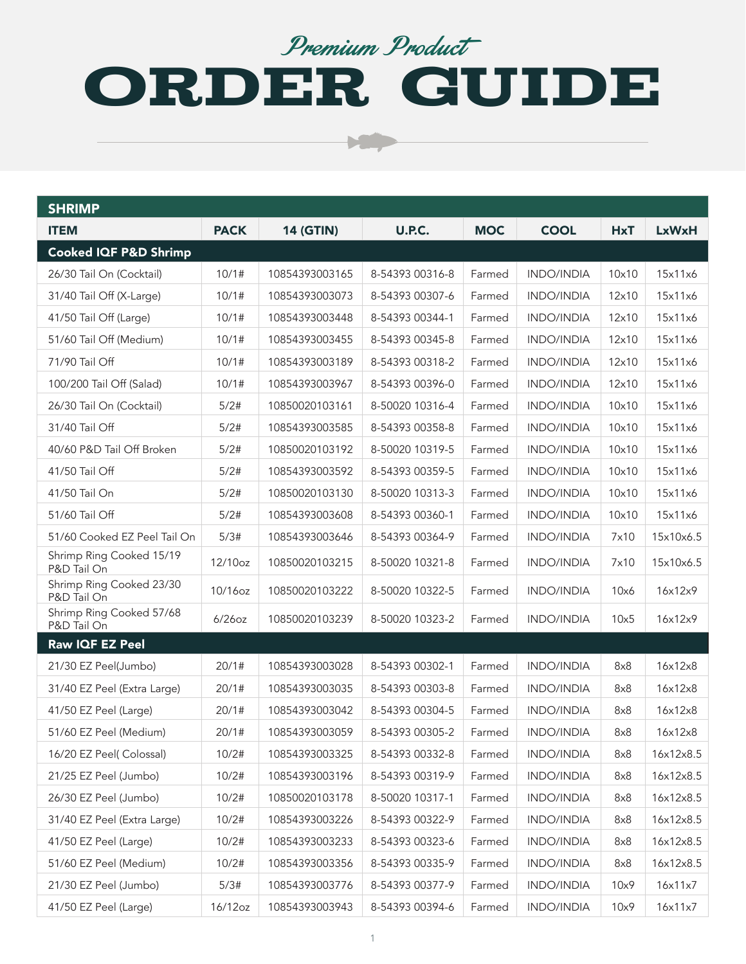#### Premium Product

# ORDER GUIDE

Ъ.

| <b>SHRIMP</b>                           |             |                  |                 |            |                   |            |              |
|-----------------------------------------|-------------|------------------|-----------------|------------|-------------------|------------|--------------|
| <b>ITEM</b>                             | <b>PACK</b> | <b>14 (GTIN)</b> | U.P.C.          | <b>MOC</b> | <b>COOL</b>       | <b>HxT</b> | <b>LxWxH</b> |
| Cooked IQF P&D Shrimp                   |             |                  |                 |            |                   |            |              |
| 26/30 Tail On (Cocktail)                | 10/1#       | 10854393003165   | 8-54393 00316-8 | Farmed     | <b>INDO/INDIA</b> | 10x10      | 15x11x6      |
| 31/40 Tail Off (X-Large)                | 10/1#       | 10854393003073   | 8-54393 00307-6 | Farmed     | <b>INDO/INDIA</b> | 12×10      | 15x11x6      |
| 41/50 Tail Off (Large)                  | 10/1#       | 10854393003448   | 8-54393 00344-1 | Farmed     | <b>INDO/INDIA</b> | 12x10      | 15x11x6      |
| 51/60 Tail Off (Medium)                 | 10/1#       | 10854393003455   | 8-54393 00345-8 | Farmed     | <b>INDO/INDIA</b> | 12x10      | 15x11x6      |
| 71/90 Tail Off                          | 10/1#       | 10854393003189   | 8-54393 00318-2 | Farmed     | <b>INDO/INDIA</b> | 12x10      | 15x11x6      |
| 100/200 Tail Off (Salad)                | 10/1#       | 10854393003967   | 8-54393 00396-0 | Farmed     | <b>INDO/INDIA</b> | 12x10      | 15x11x6      |
| 26/30 Tail On (Cocktail)                | 5/2#        | 10850020103161   | 8-50020 10316-4 | Farmed     | <b>INDO/INDIA</b> | 10x10      | 15x11x6      |
| 31/40 Tail Off                          | 5/2#        | 10854393003585   | 8-54393 00358-8 | Farmed     | <b>INDO/INDIA</b> | 10×10      | 15x11x6      |
| 40/60 P&D Tail Off Broken               | 5/2#        | 10850020103192   | 8-50020 10319-5 | Farmed     | <b>INDO/INDIA</b> | 10x10      | 15x11x6      |
| 41/50 Tail Off                          | 5/2#        | 10854393003592   | 8-54393 00359-5 | Farmed     | <b>INDO/INDIA</b> | 10×10      | 15x11x6      |
| 41/50 Tail On                           | 5/2#        | 10850020103130   | 8-50020 10313-3 | Farmed     | <b>INDO/INDIA</b> | 10×10      | 15x11x6      |
| 51/60 Tail Off                          | 5/2#        | 10854393003608   | 8-54393 00360-1 | Farmed     | <b>INDO/INDIA</b> | 10×10      | 15x11x6      |
| 51/60 Cooked EZ Peel Tail On            | 5/3#        | 10854393003646   | 8-54393 00364-9 | Farmed     | <b>INDO/INDIA</b> | 7x10       | 15x10x6.5    |
| Shrimp Ring Cooked 15/19<br>P&D Tail On | 12/10oz     | 10850020103215   | 8-50020 10321-8 | Farmed     | INDO/INDIA        | 7x10       | 15x10x6.5    |
| Shrimp Ring Cooked 23/30<br>P&D Tail On | 10/16oz     | 10850020103222   | 8-50020 10322-5 | Farmed     | <b>INDO/INDIA</b> | 10x6       | 16x12x9      |
| Shrimp Ring Cooked 57/68<br>P&D Tail On | $6/26$ oz   | 10850020103239   | 8-50020 10323-2 | Farmed     | <b>INDO/INDIA</b> | 10x5       | 16x12x9      |
| Raw IQF EZ Peel                         |             |                  |                 |            |                   |            |              |
| 21/30 EZ Peel(Jumbo)                    | 20/1#       | 10854393003028   | 8-54393 00302-1 | Farmed     | <b>INDO/INDIA</b> | 8x8        | 16x12x8      |
| 31/40 EZ Peel (Extra Large)             | 20/1#       | 10854393003035   | 8-54393 00303-8 | Farmed     | <b>INDO/INDIA</b> | 8x8        | 16x12x8      |
| 41/50 EZ Peel (Large)                   | 20/1#       | 10854393003042   | 8-54393 00304-5 | Farmed     | <b>INDO/INDIA</b> | 8x8        | 16x12x8      |
| 51/60 EZ Peel (Medium)                  | 20/1#       | 10854393003059   | 8-54393 00305-2 | Farmed     | <b>INDO/INDIA</b> | 8x8        | 16x12x8      |
| 16/20 EZ Peel( Colossal)                | 10/2#       | 10854393003325   | 8-54393 00332-8 | Farmed     | INDO/INDIA        | 8x8        | 16x12x8.5    |
| 21/25 EZ Peel (Jumbo)                   | 10/2#       | 10854393003196   | 8-54393 00319-9 | Farmed     | INDO/INDIA        | 8x8        | 16x12x8.5    |
| 26/30 EZ Peel (Jumbo)                   | 10/2#       | 10850020103178   | 8-50020 10317-1 | Farmed     | INDO/INDIA        | 8x8        | 16x12x8.5    |
| 31/40 EZ Peel (Extra Large)             | 10/2#       | 10854393003226   | 8-54393 00322-9 | Farmed     | INDO/INDIA        | 8x8        | 16x12x8.5    |
| 41/50 EZ Peel (Large)                   | 10/2#       | 10854393003233   | 8-54393 00323-6 | Farmed     | INDO/INDIA        | 8x8        | 16x12x8.5    |
| 51/60 EZ Peel (Medium)                  | 10/2#       | 10854393003356   | 8-54393 00335-9 | Farmed     | INDO/INDIA        | 8x8        | 16x12x8.5    |
| 21/30 EZ Peel (Jumbo)                   | 5/3#        | 10854393003776   | 8-54393 00377-9 | Farmed     | INDO/INDIA        | 10x9       | 16x11x7      |
| 41/50 EZ Peel (Large)                   | 16/12oz     | 10854393003943   | 8-54393 00394-6 | Farmed     | INDO/INDIA        | 10x9       | 16x11x7      |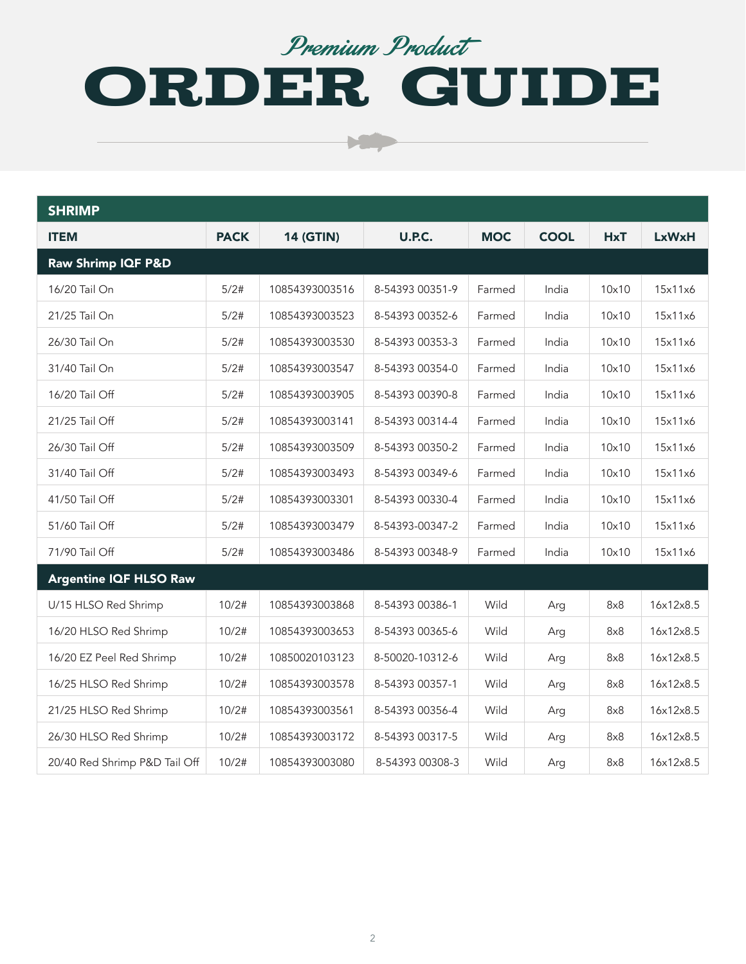#### Premium Product

# ORDER GUIDE

| <b>SHRIMP</b>                 |             |                  |                 |            |             |            |              |
|-------------------------------|-------------|------------------|-----------------|------------|-------------|------------|--------------|
| <b>ITEM</b>                   | <b>PACK</b> | <b>14 (GTIN)</b> | U.P.C.          | <b>MOC</b> | <b>COOL</b> | <b>HxT</b> | <b>LxWxH</b> |
| Raw Shrimp IQF P&D            |             |                  |                 |            |             |            |              |
| 16/20 Tail On                 | 5/2#        | 10854393003516   | 8-54393 00351-9 | Farmed     | India       | 10x10      | 15x11x6      |
| 21/25 Tail On                 | 5/2#        | 10854393003523   | 8-54393 00352-6 | Farmed     | India       | 10x10      | 15x11x6      |
| 26/30 Tail On                 | 5/2#        | 10854393003530   | 8-54393 00353-3 | Farmed     | India       | 10x10      | 15x11x6      |
| 31/40 Tail On                 | 5/2#        | 10854393003547   | 8-54393 00354-0 | Farmed     | India       | 10x10      | 15x11x6      |
| 16/20 Tail Off                | 5/2#        | 10854393003905   | 8-54393 00390-8 | Farmed     | India       | 10×10      | 15x11x6      |
| 21/25 Tail Off                | 5/2#        | 10854393003141   | 8-54393 00314-4 | Farmed     | India       | 10x10      | 15x11x6      |
| 26/30 Tail Off                | 5/2#        | 10854393003509   | 8-54393 00350-2 | Farmed     | India       | 10x10      | 15x11x6      |
| 31/40 Tail Off                | 5/2#        | 10854393003493   | 8-54393 00349-6 | Farmed     | India       | 10x10      | 15x11x6      |
| 41/50 Tail Off                | 5/2#        | 10854393003301   | 8-54393 00330-4 | Farmed     | India       | 10×10      | 15x11x6      |
| 51/60 Tail Off                | 5/2#        | 10854393003479   | 8-54393-00347-2 | Farmed     | India       | 10x10      | 15x11x6      |
| 71/90 Tail Off                | 5/2#        | 10854393003486   | 8-54393 00348-9 | Farmed     | India       | 10x10      | 15x11x6      |
| <b>Argentine IQF HLSO Raw</b> |             |                  |                 |            |             |            |              |
| U/15 HLSO Red Shrimp          | 10/2#       | 10854393003868   | 8-54393 00386-1 | Wild       | Arg         | 8x8        | 16x12x8.5    |
| 16/20 HLSO Red Shrimp         | 10/2#       | 10854393003653   | 8-54393 00365-6 | Wild       | Arg         | 8x8        | 16x12x8.5    |
| 16/20 EZ Peel Red Shrimp      | 10/2#       | 10850020103123   | 8-50020-10312-6 | Wild       | Arg         | 8x8        | 16x12x8.5    |
| 16/25 HLSO Red Shrimp         | 10/2#       | 10854393003578   | 8-54393 00357-1 | Wild       | Arg         | 8x8        | 16x12x8.5    |
| 21/25 HLSO Red Shrimp         | 10/2#       | 10854393003561   | 8-54393 00356-4 | Wild       | Arg         | 8x8        | 16x12x8.5    |
| 26/30 HLSO Red Shrimp         | 10/2#       | 10854393003172   | 8-54393 00317-5 | Wild       | Arg         | 8x8        | 16x12x8.5    |
| 20/40 Red Shrimp P&D Tail Off | 10/2#       | 10854393003080   | 8-54393 00308-3 | Wild       | Arg         | 8x8        | 16x12x8.5    |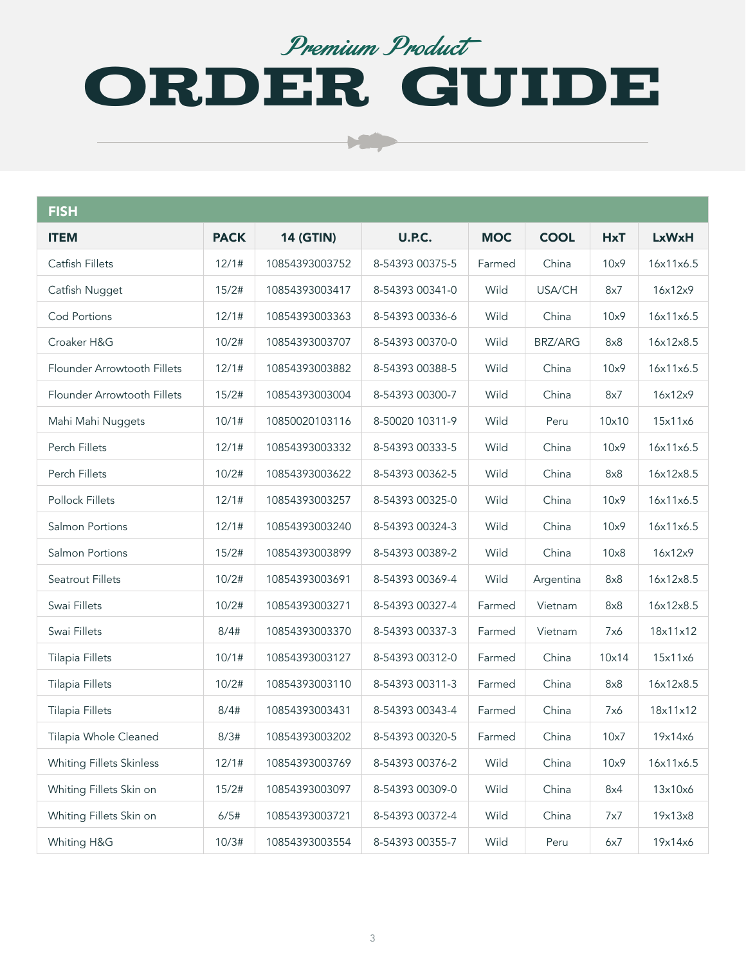### ORDER GUIDE Premium Product

 $\mathbf{C}$ 

| <b>FISH</b>                     |             |                  |                 |            |                |            |              |
|---------------------------------|-------------|------------------|-----------------|------------|----------------|------------|--------------|
| <b>ITEM</b>                     | <b>PACK</b> | <b>14 (GTIN)</b> | <b>U.P.C.</b>   | <b>MOC</b> | <b>COOL</b>    | <b>HxT</b> | <b>LxWxH</b> |
| Catfish Fillets                 | 12/1#       | 10854393003752   | 8-54393 00375-5 | Farmed     | China          | 10x9       | 16x11x6.5    |
| Catfish Nugget                  | 15/2#       | 10854393003417   | 8-54393 00341-0 | Wild       | USA/CH         | 8x7        | 16x12x9      |
| <b>Cod Portions</b>             | 12/1#       | 10854393003363   | 8-54393 00336-6 | Wild       | China          | 10x9       | 16x11x6.5    |
| Croaker H&G                     | 10/2#       | 10854393003707   | 8-54393 00370-0 | Wild       | <b>BRZ/ARG</b> | 8x8        | 16x12x8.5    |
| Flounder Arrowtooth Fillets     | 12/1#       | 10854393003882   | 8-54393 00388-5 | Wild       | China          | 10x9       | 16x11x6.5    |
| Flounder Arrowtooth Fillets     | 15/2#       | 10854393003004   | 8-54393 00300-7 | Wild       | China          | 8x7        | 16x12x9      |
| Mahi Mahi Nuggets               | 10/1#       | 10850020103116   | 8-50020 10311-9 | Wild       | Peru           | 10x10      | 15x11x6      |
| Perch Fillets                   | 12/1#       | 10854393003332   | 8-54393 00333-5 | Wild       | China          | 10x9       | 16x11x6.5    |
| Perch Fillets                   | 10/2#       | 10854393003622   | 8-54393 00362-5 | Wild       | China          | 8x8        | 16x12x8.5    |
| Pollock Fillets                 | 12/1#       | 10854393003257   | 8-54393 00325-0 | Wild       | China          | 10x9       | 16x11x6.5    |
| Salmon Portions                 | 12/1#       | 10854393003240   | 8-54393 00324-3 | Wild       | China          | 10x9       | 16x11x6.5    |
| Salmon Portions                 | 15/2#       | 10854393003899   | 8-54393 00389-2 | Wild       | China          | 10x8       | 16x12x9      |
| <b>Seatrout Fillets</b>         | 10/2#       | 10854393003691   | 8-54393 00369-4 | Wild       | Argentina      | 8x8        | 16x12x8.5    |
| Swai Fillets                    | 10/2#       | 10854393003271   | 8-54393 00327-4 | Farmed     | Vietnam        | 8x8        | 16x12x8.5    |
| Swai Fillets                    | 8/4#        | 10854393003370   | 8-54393 00337-3 | Farmed     | Vietnam        | 7x6        | 18x11x12     |
| <b>Tilapia Fillets</b>          | 10/1#       | 10854393003127   | 8-54393 00312-0 | Farmed     | China          | 10x14      | 15x11x6      |
| <b>Tilapia Fillets</b>          | 10/2#       | 10854393003110   | 8-54393 00311-3 | Farmed     | China          | 8x8        | 16x12x8.5    |
| <b>Tilapia Fillets</b>          | 8/4#        | 10854393003431   | 8-54393 00343-4 | Farmed     | China          | 7x6        | 18x11x12     |
| Tilapia Whole Cleaned           | 8/3#        | 10854393003202   | 8-54393 00320-5 | Farmed     | China          | 10x7       | 19x14x6      |
| <b>Whiting Fillets Skinless</b> | 12/1#       | 10854393003769   | 8-54393 00376-2 | Wild       | China          | 10x9       | 16x11x6.5    |
| Whiting Fillets Skin on         | 15/2#       | 10854393003097   | 8-54393 00309-0 | Wild       | China          | 8x4        | 13x10x6      |
| Whiting Fillets Skin on         | 6/5#        | 10854393003721   | 8-54393 00372-4 | Wild       | China          | 7x7        | 19x13x8      |
| Whiting H&G                     | 10/3#       | 10854393003554   | 8-54393 00355-7 | Wild       | Peru           | 6x7        | 19x14x6      |